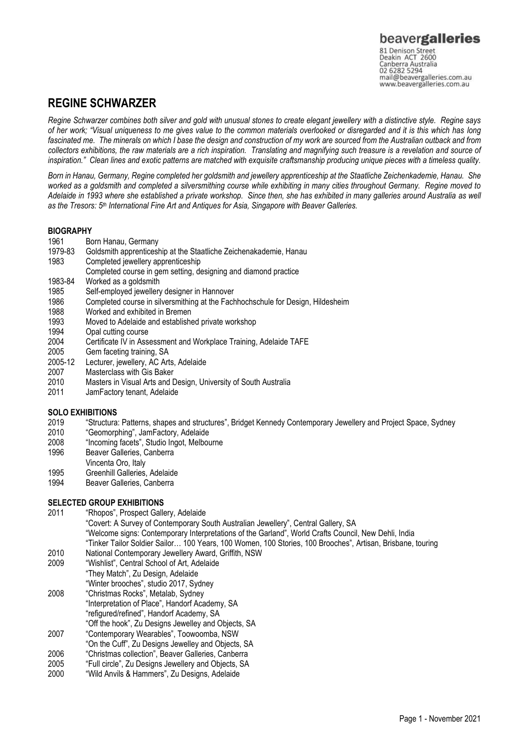Canberra Australia mail@beavergalleries.com.au www.beavergalleries.com.au

# **REGINE SCHWARZER**

*Regine Schwarzer combines both silver and gold with unusual stones to create elegant jewellery with a distinctive style. Regine says of her work; "Visual uniqueness to me gives value to the common materials overlooked or disregarded and it is this which has long fascinated me. The minerals on which I base the design and construction of my work are sourced from the Australian outback and from collectors exhibitions, the raw materials are a rich inspiration. Translating and magnifying such treasure is a revelation and source of inspiration." Clean lines and exotic patterns are matched with exquisite craftsmanship producing unique pieces with a timeless quality.* 

*Born in Hanau, Germany, Regine completed her goldsmith and jewellery apprenticeship at the Staatliche Zeichenkademie, Hanau. She worked as a goldsmith and completed a silversmithing course while exhibiting in many cities throughout Germany. Regine moved to Adelaide in 1993 where she established a private workshop. Since then, she has exhibited in many galleries around Australia as well as the Tresors: 5th International Fine Art and Antiques for Asia, Singapore with Beaver Galleries.*

### **BIOGRAPHY**

- 1961 Born Hanau, Germany
- 1979-83 Goldsmith apprenticeship at the Staatliche Zeichenakademie, Hanau
- 1983 Completed jewellery apprenticeship
- Completed course in gem setting, designing and diamond practice
- 1983-84 Worked as a goldsmith
- 1985 Self-employed jewellery designer in Hannover
- 1986 Completed course in silversmithing at the Fachhochschule for Design, Hildesheim
- 1988 Worked and exhibited in Bremen
- 1993 Moved to Adelaide and established private workshop
- 1994 Opal cutting course
- 2004 Certificate IV in Assessment and Workplace Training, Adelaide TAFE
- 2005 Gem faceting training, SA
- 2005-12 Lecturer, jewellery, AC Arts, Adelaide
- 2007 Masterclass with Gis Baker
- 2010 Masters in Visual Arts and Design, University of South Australia
- 2011 JamFactory tenant, Adelaide

### **SOLO EXHIBITIONS**

- 2019 "Structura: Patterns, shapes and structures", Bridget Kennedy Contemporary Jewellery and Project Space, Sydney<br>2010 "Geomorphing". JamFactory. Adelaide
- 2010 "Geomorphing", JamFactory, Adelaide
- 2008 "Incoming facets", Studio Ingot, Melbourne
- Beaver Galleries, Canberra
- Vincenta Oro, Italy
- 1995 Greenhill Galleries, Adelaide<br>1994 Beaver Galleries, Canberra
- Beaver Galleries, Canberra

## **SELECTED GROUP EXHIBITIONS**

- 2011 "Rhopos", Prospect Gallery, Adelaide "Covert: A Survey of Contemporary South Australian Jewellery", Central Gallery, SA "Welcome signs: Contemporary Interpretations of the Garland", World Crafts Council, New Dehli, India "Tinker Tailor Soldier Sailor… 100 Years, 100 Women, 100 Stories, 100 Brooches", Artisan, Brisbane, touring
- 2010 National Contemporary Jewellery Award, Griffith, NSW<br>2009 "Wishlist". Central School of Art. Adelaide
- "Wishlist", Central School of Art, Adelaide "They Match", Zu Design, Adelaide "Winter brooches", studio 2017, Sydney
- 2008 "Christmas Rocks", Metalab, Sydney "Interpretation of Place", Handorf Academy, SA "refigured/refined", Handorf Academy, SA
- "Off the hook", Zu Designs Jewelley and Objects, SA
- 2007 "Contemporary Wearables", Toowoomba, NSW
- "On the Cuff", Zu Designs Jewelley and Objects, SA
- 2006 "Christmas collection", Beaver Galleries, Canberra 2005 "Full circle", Zu Designs Jewellery and Objects, SA
- 2000 "Wild Anvils & Hammers", Zu Designs, Adelaide